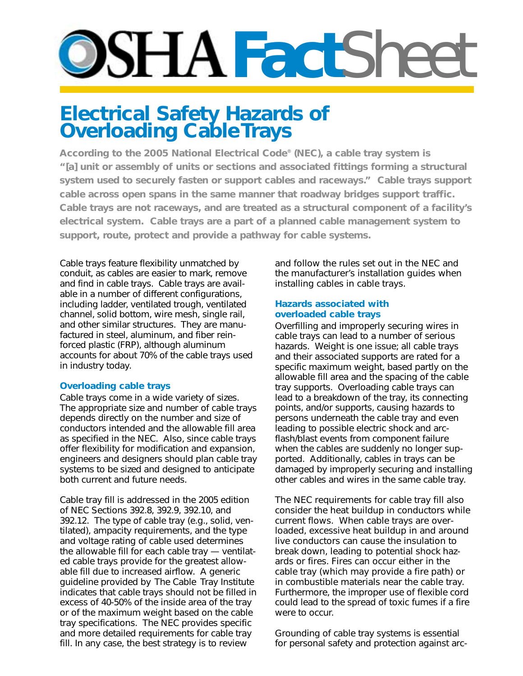# **DSHAFactSheet**

## **Electrical Safety Hazards of Overloading Cable Trays**

**According to the 2005 National Electrical Code® (NEC), a cable tray system is "[a] unit or assembly of units or sections and associated fittings forming a structural system used to securely fasten or support cables and raceways." Cable trays support cable across open spans in the same manner that roadway bridges support traffic. Cable trays are not raceways, and are treated as a structural component of a facility's electrical system. Cable trays are a part of a planned cable management system to support, route, protect and provide a pathway for cable systems.**

Cable trays feature flexibility unmatched by conduit, as cables are easier to mark, remove and find in cable trays. Cable trays are available in a number of different configurations, including ladder, ventilated trough, ventilated channel, solid bottom, wire mesh, single rail, and other similar structures. They are manufactured in steel, aluminum, and fiber reinforced plastic (FRP), although aluminum accounts for about 70% of the cable trays used in industry today.

#### **Overloading cable trays**

Cable trays come in a wide variety of sizes. The appropriate size and number of cable trays depends directly on the number and size of conductors intended and the allowable fill area as specified in the NEC. Also, since cable trays offer flexibility for modification and expansion, engineers and designers should plan cable tray systems to be sized and designed to anticipate both current and future needs.

Cable tray fill is addressed in the 2005 edition of NEC Sections 392.8, 392.9, 392.10, and 392.12. The type of cable tray (e.g., solid, ventilated), ampacity requirements, and the type and voltage rating of cable used determines the allowable fill for each cable tray — ventilated cable trays provide for the greatest allowable fill due to increased airflow. A generic guideline provided by The Cable Tray Institute indicates that cable trays should not be filled in excess of 40-50% of the inside area of the tray or of the maximum weight based on the cable tray specifications. The NEC provides specific and more detailed requirements for cable tray fill. In any case, the best strategy is to review

and follow the rules set out in the NEC and the manufacturer's installation guides when installing cables in cable trays.

#### **Hazards associated with overloaded cable trays**

Overfilling and improperly securing wires in cable trays can lead to a number of serious hazards. Weight is one issue; all cable trays and their associated supports are rated for a specific maximum weight, based partly on the allowable fill area and the spacing of the cable tray supports. Overloading cable trays can lead to a breakdown of the tray, its connecting points, and/or supports, causing hazards to persons underneath the cable tray and even leading to possible electric shock and arcflash/blast events from component failure when the cables are suddenly no longer supported. Additionally, cables in trays can be damaged by improperly securing and installing other cables and wires in the same cable tray.

The NEC requirements for cable tray fill also consider the heat buildup in conductors while current flows. When cable trays are overloaded, excessive heat buildup in and around live conductors can cause the insulation to break down, leading to potential shock hazards or fires. Fires can occur either in the cable tray (which may provide a fire path) or in combustible materials near the cable tray. Furthermore, the improper use of flexible cord could lead to the spread of toxic fumes if a fire were to occur.

Grounding of cable tray systems is essential for personal safety and protection against arc